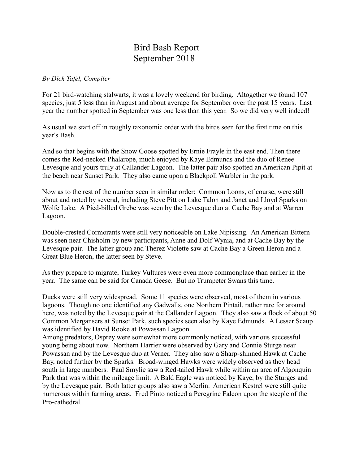## Bird Bash Report September 2018

## *By Dick Tafel, Compiler*

For 21 bird-watching stalwarts, it was a lovely weekend for birding. Altogether we found 107 species, just 5 less than in August and about average for September over the past 15 years. Last year the number spotted in September was one less than this year. So we did very well indeed!

As usual we start off in roughly taxonomic order with the birds seen for the first time on this year's Bash.

And so that begins with the Snow Goose spotted by Ernie Frayle in the east end. Then there comes the Red-necked Phalarope, much enjoyed by Kaye Edmunds and the duo of Renee Levesque and yours truly at Callander Lagoon. The latter pair also spotted an American Pipit at the beach near Sunset Park. They also came upon a Blackpoll Warbler in the park.

Now as to the rest of the number seen in similar order: Common Loons, of course, were still about and noted by several, including Steve Pitt on Lake Talon and Janet and Lloyd Sparks on Wolfe Lake. A Pied-billed Grebe was seen by the Levesque duo at Cache Bay and at Warren Lagoon.

Double-crested Cormorants were still very noticeable on Lake Nipissing. An American Bittern was seen near Chisholm by new participants, Anne and Dolf Wynia, and at Cache Bay by the Levesque pair. The latter group and Therez Violette saw at Cache Bay a Green Heron and a Great Blue Heron, the latter seen by Steve.

As they prepare to migrate, Turkey Vultures were even more commonplace than earlier in the year. The same can be said for Canada Geese. But no Trumpeter Swans this time.

Ducks were still very widespread. Some 11 species were observed, most of them in various lagoons. Though no one identified any Gadwalls, one Northern Pintail, rather rare for around here, was noted by the Levesque pair at the Callander Lagoon. They also saw a flock of about 50 Common Mergansers at Sunset Park, such species seen also by Kaye Edmunds. A Lesser Scaup was identified by David Rooke at Powassan Lagoon.

Among predators, Osprey were somewhat more commonly noticed, with various successful young being about now. Northern Harrier were observed by Gary and Connie Sturge near Powassan and by the Levesque duo at Verner. They also saw a Sharp-shinned Hawk at Cache Bay, noted further by the Sparks. Broad-winged Hawks were widely observed as they head south in large numbers. Paul Smylie saw a Red-tailed Hawk while within an area of Algonquin Park that was within the mileage limit. A Bald Eagle was noticed by Kaye, by the Sturges and by the Levesque pair. Both latter groups also saw a Merlin. American Kestrel were still quite numerous within farming areas. Fred Pinto noticed a Peregrine Falcon upon the steeple of the Pro-cathedral.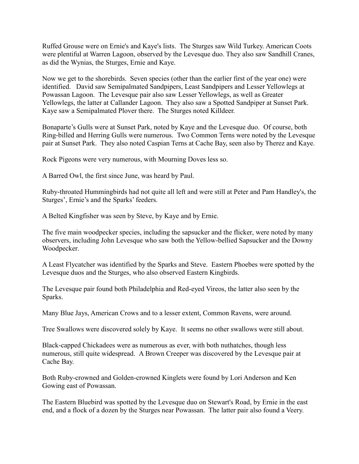Ruffed Grouse were on Ernie's and Kaye's lists. The Sturges saw Wild Turkey. American Coots were plentiful at Warren Lagoon, observed by the Levesque duo. They also saw Sandhill Cranes, as did the Wynias, the Sturges, Ernie and Kaye.

Now we get to the shorebirds. Seven species (other than the earlier first of the year one) were identified. David saw Semipalmated Sandpipers, Least Sandpipers and Lesser Yellowlegs at Powassan Lagoon. The Levesque pair also saw Lesser Yellowlegs, as well as Greater Yellowlegs, the latter at Callander Lagoon. They also saw a Spotted Sandpiper at Sunset Park. Kaye saw a Semipalmated Plover there. The Sturges noted Killdeer.

Bonaparte's Gulls were at Sunset Park, noted by Kaye and the Levesque duo. Of course, both Ring-billed and Herring Gulls were numerous. Two Common Terns were noted by the Levesque pair at Sunset Park. They also noted Caspian Terns at Cache Bay, seen also by Therez and Kaye.

Rock Pigeons were very numerous, with Mourning Doves less so.

A Barred Owl, the first since June, was heard by Paul.

Ruby-throated Hummingbirds had not quite all left and were still at Peter and Pam Handley's, the Sturges', Ernie's and the Sparks' feeders.

A Belted Kingfisher was seen by Steve, by Kaye and by Ernie.

The five main woodpecker species, including the sapsucker and the flicker, were noted by many observers, including John Levesque who saw both the Yellow-bellied Sapsucker and the Downy Woodpecker.

A Least Flycatcher was identified by the Sparks and Steve. Eastern Phoebes were spotted by the Levesque duos and the Sturges, who also observed Eastern Kingbirds.

The Levesque pair found both Philadelphia and Red-eyed Vireos, the latter also seen by the Sparks.

Many Blue Jays, American Crows and to a lesser extent, Common Ravens, were around.

Tree Swallows were discovered solely by Kaye. It seems no other swallows were still about.

Black-capped Chickadees were as numerous as ever, with both nuthatches, though less numerous, still quite widespread. A Brown Creeper was discovered by the Levesque pair at Cache Bay.

Both Ruby-crowned and Golden-crowned Kinglets were found by Lori Anderson and Ken Gowing east of Powassan.

The Eastern Bluebird was spotted by the Levesque duo on Stewart's Road, by Ernie in the east end, and a flock of a dozen by the Sturges near Powassan. The latter pair also found a Veery.